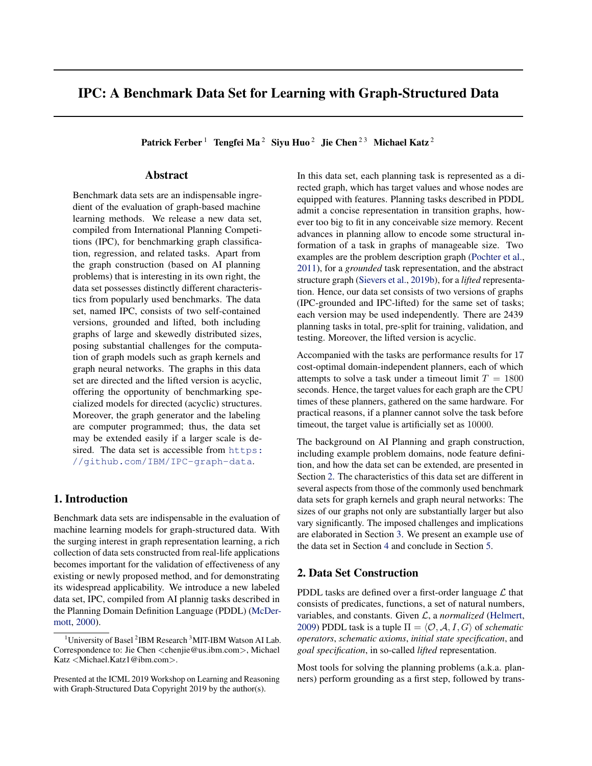# IPC: A Benchmark Data Set for Learning with Graph-Structured Data

Patrick Ferber<sup>1</sup> Tengfei Ma<sup>2</sup> Siyu Huo<sup>2</sup> Jie Chen<sup>23</sup> Michael Katz<sup>2</sup>

### Abstract

Benchmark data sets are an indispensable ingredient of the evaluation of graph-based machine learning methods. We release a new data set, compiled from International Planning Competitions (IPC), for benchmarking graph classification, regression, and related tasks. Apart from the graph construction (based on AI planning problems) that is interesting in its own right, the data set possesses distinctly different characteristics from popularly used benchmarks. The data set, named IPC, consists of two self-contained versions, grounded and lifted, both including graphs of large and skewedly distributed sizes, posing substantial challenges for the computation of graph models such as graph kernels and graph neural networks. The graphs in this data set are directed and the lifted version is acyclic, offering the opportunity of benchmarking specialized models for directed (acyclic) structures. Moreover, the graph generator and the labeling are computer programmed; thus, the data set may be extended easily if a larger scale is desired. The data set is accessible from [https:](https://github.com/IBM/IPC-graph-data) [//github.com/IBM/IPC-graph-data](https://github.com/IBM/IPC-graph-data).

#### 1. Introduction

Benchmark data sets are indispensable in the evaluation of machine learning models for graph-structured data. With the surging interest in graph representation learning, a rich collection of data sets constructed from real-life applications becomes important for the validation of effectiveness of any existing or newly proposed method, and for demonstrating its widespread applicability. We introduce a new labeled data set, IPC, compiled from AI plannig tasks described in the Planning Domain Definition Language (PDDL) [\(McDer](#page-4-0)[mott,](#page-4-0) [2000\)](#page-4-0).

In this data set, each planning task is represented as a directed graph, which has target values and whose nodes are equipped with features. Planning tasks described in PDDL admit a concise representation in transition graphs, however too big to fit in any conceivable size memory. Recent advances in planning allow to encode some structural information of a task in graphs of manageable size. Two examples are the problem description graph [\(Pochter et al.,](#page-4-0) [2011\)](#page-4-0), for a *grounded* task representation, and the abstract structure graph [\(Sievers et al.,](#page-4-0) [2019b\)](#page-4-0), for a *lifted* representation. Hence, our data set consists of two versions of graphs (IPC-grounded and IPC-lifted) for the same set of tasks; each version may be used independently. There are 2439 planning tasks in total, pre-split for training, validation, and testing. Moreover, the lifted version is acyclic.

Accompanied with the tasks are performance results for 17 cost-optimal domain-independent planners, each of which attempts to solve a task under a timeout limit  $T = 1800$ seconds. Hence, the target values for each graph are the CPU times of these planners, gathered on the same hardware. For practical reasons, if a planner cannot solve the task before timeout, the target value is artificially set as 10000.

The background on AI Planning and graph construction, including example problem domains, node feature definition, and how the data set can be extended, are presented in Section 2. The characteristics of this data set are different in several aspects from those of the commonly used benchmark data sets for graph kernels and graph neural networks: The sizes of our graphs not only are substantially larger but also vary significantly. The imposed challenges and implications are elaborated in Section [3.](#page-2-0) We present an example use of the data set in Section [4](#page-2-0) and conclude in Section [5.](#page-3-0)

## 2. Data Set Construction

PDDL tasks are defined over a first-order language  $\mathcal L$  that consists of predicates, functions, a set of natural numbers, variables, and constants. Given L, a *normalized* [\(Helmert,](#page-4-0) [2009\)](#page-4-0) PDDL task is a tuple  $\Pi = \langle O, A, I, G \rangle$  of *schematic operators*, *schematic axioms*, *initial state specification*, and *goal specification*, in so-called *lifted* representation.

Most tools for solving the planning problems (a.k.a. planners) perform grounding as a first step, followed by trans-

<sup>&</sup>lt;sup>1</sup>University of Basel<sup>2</sup>IBM Research<sup>3</sup>MIT-IBM Watson AI Lab. Correspondence to: Jie Chen <chenjie@us.ibm.com>, Michael Katz <Michael.Katz1@ibm.com>.

Presented at the ICML 2019 Workshop on Learning and Reasoning with Graph-Structured Data Copyright 2019 by the author(s).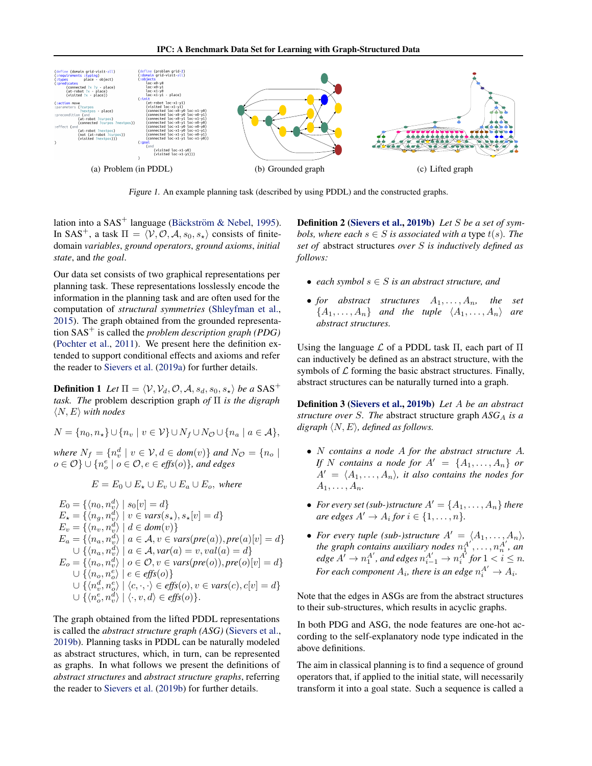IPC: A Benchmark Data Set for Learning with Graph-Structured Data



Figure 1. An example planning task (described by using PDDL) and the constructed graphs.

lation into a  $SAS^+$  language (Bäckström & Nebel, [1995\)](#page-4-0). In SAS<sup>+</sup>, a task  $\Pi = \langle V, O, A, s_0, s_\star \rangle$  consists of finitedomain *variables*, *ground operators*, *ground axioms*, *initial state*, and *the goal*.

Our data set consists of two graphical representations per planning task. These representations losslessly encode the information in the planning task and are often used for the computation of *structural symmetries* [\(Shleyfman et al.,](#page-4-0) [2015\)](#page-4-0). The graph obtained from the grounded representation SAS<sup>+</sup> is called the *problem description graph (PDG)* [\(Pochter et al.,](#page-4-0) [2011\)](#page-4-0). We present here the definition extended to support conditional effects and axioms and refer the reader to [Sievers et al.](#page-4-0) [\(2019a\)](#page-4-0) for further details.

**Definition 1** Let  $\Pi = \langle V, V_d, \mathcal{O}, \mathcal{A}, s_d, s_0, s_* \rangle$  be a SAS<sup>+</sup> *task. The* problem description graph *of* Π *is the digraph*  $\langle N, E \rangle$  *with nodes* 

$$
N = \{n_0, n_\star\} \cup \{n_v \mid v \in \mathcal{V}\} \cup N_f \cup N_\mathcal{O} \cup \{n_a \mid a \in \mathcal{A}\},\
$$

*where*  $N_f = \{n_v^d \mid v \in V, d \in \text{dom}(v)\}\$ and  $N_{\mathcal{O}} = \{n_o \mid v \in V, d \in \text{dom}(v)\}\$  $o ∈ O$ <sup>}</sup>  $∪$  { $n_o<sup>e</sup> ∣ o ∈ O, e ∈ effs(o)$ }, and edges

$$
E = E_0 \cup E_{\star} \cup E_v \cup E_a \cup E_o, \text{ where}
$$

$$
E_0 = \{\langle n_0, n_v^d \rangle \mid s_0[v] = d\}
$$
  
\n
$$
E_{\star} = \{\langle n_g, n_v^d \rangle \mid v \in vars(s_{\star}), s_{\star}[v] = d\}
$$
  
\n
$$
E_v = \{\langle n_v, n_v^d \rangle \mid d \in dom(v)\}
$$
  
\n
$$
E_a = \{\langle n_a, n_v^d \rangle \mid a \in A, v \in vars(pre(a)), pre(a)[v] = d\}
$$
  
\n
$$
\cup \{\langle n_a, n_v^d \rangle \mid a \in A, var(a) = v, val(a) = d\}
$$
  
\n
$$
E_o = \{\langle n_o, n_v^d \rangle \mid o \in O, v \in vars(pre(o)), pre(o)[v] = d\}
$$
  
\n
$$
\cup \{\langle n_c, n_c^e \rangle \mid e \in effs(o)\}
$$
  
\n
$$
\cup \{\langle n_c^d, n_c^e \rangle \mid \langle c, \cdot, \cdot \rangle \in effs(o), v \in vars(c), c[v] = d\}
$$
  
\n
$$
\cup \{\langle n_c^e, n_v^d \rangle \mid \langle \cdot, v, d \rangle \in effs(o)\}.
$$

The graph obtained from the lifted PDDL representations is called the *abstract structure graph (ASG)* [\(Sievers et al.,](#page-4-0) [2019b\)](#page-4-0). Planning tasks in PDDL can be naturally modeled as abstract structures, which, in turn, can be represented as graphs. In what follows we present the definitions of *abstract structures* and *abstract structure graphs*, referring the reader to [Sievers et al.](#page-4-0) [\(2019b\)](#page-4-0) for further details.

Definition 2 [\(Sievers et al.,](#page-4-0) [2019b\)](#page-4-0) *Let* S *be a set of symbols, where each*  $s \in S$  *is associated with a type t(s). The set of* abstract structures *over* S *is inductively defined as follows:*

- *each symbol* s ∈ S *is an abstract structure, and*
- *for abstract structures*  $A_1, \ldots, A_n$ , the set  ${A_1, \ldots, A_n}$  *and the tuple*  $\langle A_1, \ldots, A_n \rangle$  *are abstract structures.*

Using the language  $\mathcal L$  of a PDDL task  $\Pi$ , each part of  $\Pi$ can inductively be defined as an abstract structure, with the symbols of  $\mathcal L$  forming the basic abstract structures. Finally, abstract structures can be naturally turned into a graph.

Definition 3 [\(Sievers et al.,](#page-4-0) [2019b\)](#page-4-0) *Let* A *be an abstract structure over S. The abstract structure graph*  $ASG_A$  *<i>is a digraph*  $\langle N, E \rangle$ *, defined as follows.* 

- N *contains a node* A *for the abstract structure* A*. If* N *contains a node for*  $A' = \{A_1, \ldots, A_n\}$  *or*  $A' = \langle A_1, \ldots, A_n \rangle$ , it also contains the nodes for A1, . . . , An*.*
- For every set (sub-)structure  $A' = \{A_1, \ldots, A_n\}$  there  $are edges A' \rightarrow A_i for i \in \{1, \ldots, n\}.$
- For every tuple (sub-)structure  $A' = \langle A_1, \ldots, A_n \rangle$ , the graph contains auxiliary nodes  $n_1^{A'}, \ldots, n_n^{A'}$ , an  $\textit{edge A'} \rightarrow n_1^{A'}, \textit{and edges } n_{i-1}^{A'} \rightarrow n_i^{A'} \textit{for } 1 < i \leq n.$ For each component  $A_i$ , there is an edge  $n_i^{A'} \rightarrow A_i$ .

Note that the edges in ASGs are from the abstract structures to their sub-structures, which results in acyclic graphs.

In both PDG and ASG, the node features are one-hot according to the self-explanatory node type indicated in the above definitions.

The aim in classical planning is to find a sequence of ground operators that, if applied to the initial state, will necessarily transform it into a goal state. Such a sequence is called a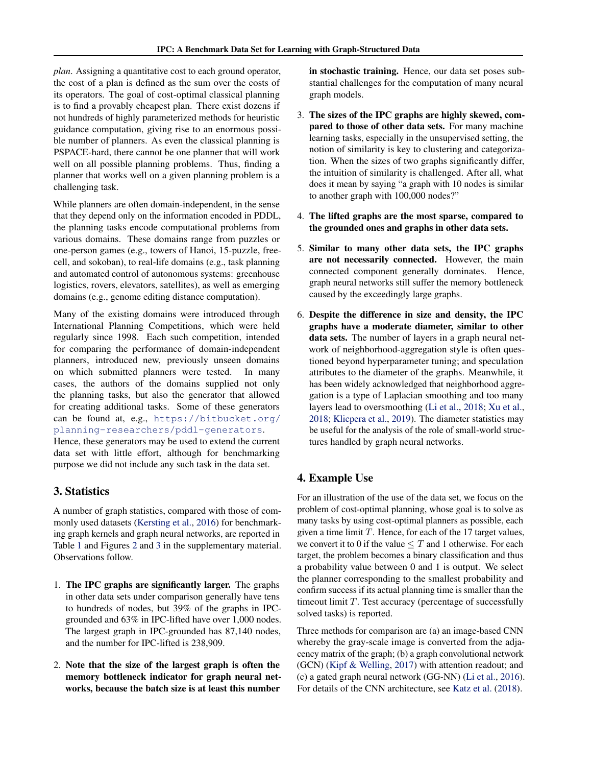<span id="page-2-0"></span>*plan*. Assigning a quantitative cost to each ground operator, the cost of a plan is defined as the sum over the costs of its operators. The goal of cost-optimal classical planning is to find a provably cheapest plan. There exist dozens if not hundreds of highly parameterized methods for heuristic guidance computation, giving rise to an enormous possible number of planners. As even the classical planning is PSPACE-hard, there cannot be one planner that will work well on all possible planning problems. Thus, finding a planner that works well on a given planning problem is a challenging task.

While planners are often domain-independent, in the sense that they depend only on the information encoded in PDDL, the planning tasks encode computational problems from various domains. These domains range from puzzles or one-person games (e.g., towers of Hanoi, 15-puzzle, freecell, and sokoban), to real-life domains (e.g., task planning and automated control of autonomous systems: greenhouse logistics, rovers, elevators, satellites), as well as emerging domains (e.g., genome editing distance computation).

Many of the existing domains were introduced through International Planning Competitions, which were held regularly since 1998. Each such competition, intended for comparing the performance of domain-independent planners, introduced new, previously unseen domains on which submitted planners were tested. In many cases, the authors of the domains supplied not only the planning tasks, but also the generator that allowed for creating additional tasks. Some of these generators can be found at, e.g., [https://bitbucket.org/](https://bitbucket.org/planning-researchers/pddl-generators) [planning-researchers/pddl-generators](https://bitbucket.org/planning-researchers/pddl-generators).

Hence, these generators may be used to extend the current data set with little effort, although for benchmarking purpose we did not include any such task in the data set.

### 3. Statistics

A number of graph statistics, compared with those of commonly used datasets [\(Kersting et al.,](#page-4-0) [2016\)](#page-4-0) for benchmarking graph kernels and graph neural networks, are reported in Table [1](#page-3-0) and Figures [2](#page-5-0) and [3](#page-5-0) in the supplementary material. Observations follow.

- 1. The IPC graphs are significantly larger. The graphs in other data sets under comparison generally have tens to hundreds of nodes, but 39% of the graphs in IPCgrounded and 63% in IPC-lifted have over 1,000 nodes. The largest graph in IPC-grounded has 87,140 nodes, and the number for IPC-lifted is 238,909.
- 2. Note that the size of the largest graph is often the memory bottleneck indicator for graph neural networks, because the batch size is at least this number

in stochastic training. Hence, our data set poses substantial challenges for the computation of many neural graph models.

- 3. The sizes of the IPC graphs are highly skewed, compared to those of other data sets. For many machine learning tasks, especially in the unsupervised setting, the notion of similarity is key to clustering and categorization. When the sizes of two graphs significantly differ, the intuition of similarity is challenged. After all, what does it mean by saying "a graph with 10 nodes is similar to another graph with 100,000 nodes?"
- 4. The lifted graphs are the most sparse, compared to the grounded ones and graphs in other data sets.
- 5. Similar to many other data sets, the IPC graphs are not necessarily connected. However, the main connected component generally dominates. Hence, graph neural networks still suffer the memory bottleneck caused by the exceedingly large graphs.
- 6. Despite the difference in size and density, the IPC graphs have a moderate diameter, similar to other data sets. The number of layers in a graph neural network of neighborhood-aggregation style is often questioned beyond hyperparameter tuning; and speculation attributes to the diameter of the graphs. Meanwhile, it has been widely acknowledged that neighborhood aggregation is a type of Laplacian smoothing and too many layers lead to oversmoothing [\(Li et al.,](#page-4-0) [2018;](#page-4-0) [Xu et al.,](#page-4-0) [2018;](#page-4-0) [Klicpera et al.,](#page-4-0) [2019\)](#page-4-0). The diameter statistics may be useful for the analysis of the role of small-world structures handled by graph neural networks.

# 4. Example Use

For an illustration of the use of the data set, we focus on the problem of cost-optimal planning, whose goal is to solve as many tasks by using cost-optimal planners as possible, each given a time limit  $T$ . Hence, for each of the 17 target values, we convert it to 0 if the value  $\leq T$  and 1 otherwise. For each target, the problem becomes a binary classification and thus a probability value between 0 and 1 is output. We select the planner corresponding to the smallest probability and confirm success if its actual planning time is smaller than the timeout limit  $T$ . Test accuracy (percentage of successfully solved tasks) is reported.

Three methods for comparison are (a) an image-based CNN whereby the gray-scale image is converted from the adjacency matrix of the graph; (b) a graph convolutional network (GCN) [\(Kipf & Welling,](#page-4-0) [2017\)](#page-4-0) with attention readout; and (c) a gated graph neural network (GG-NN) [\(Li et al.,](#page-4-0) [2016\)](#page-4-0). For details of the CNN architecture, see [Katz et al.](#page-4-0) [\(2018\)](#page-4-0).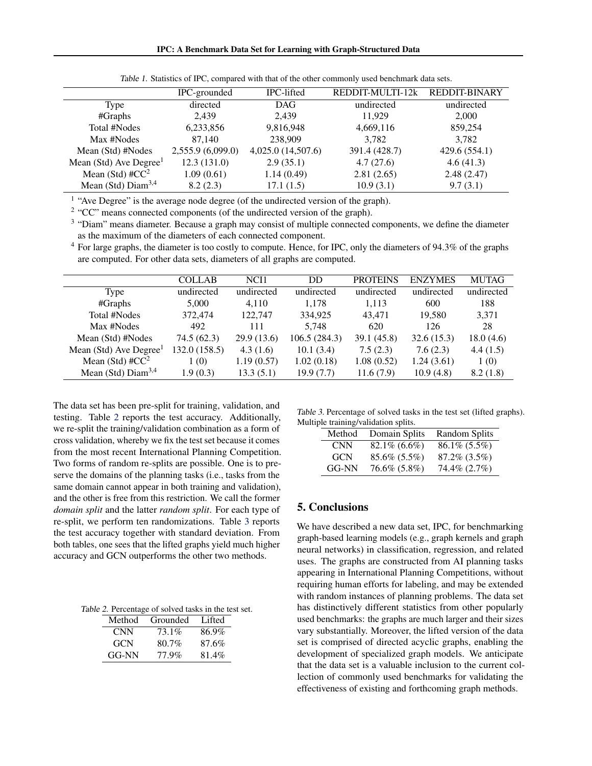<span id="page-3-0"></span>

|                                    | IPC-grounded      | IPC-lifted         | REDDIT-MULTI-12k | <b>REDDIT-BINARY</b> |
|------------------------------------|-------------------|--------------------|------------------|----------------------|
| Type                               | directed          | <b>DAG</b>         | undirected       | undirected           |
| #Graphs                            | 2.439             | 2,439              | 11.929           | 2,000                |
| Total #Nodes                       | 6,233,856         | 9,816,948          | 4,669,116        | 859,254              |
| Max #Nodes                         | 87,140            | 238,909            | 3,782            | 3,782                |
| Mean (Std) #Nodes                  | 2,555.9 (6,099.0) | 4,025.0 (14,507.6) | 391.4 (428.7)    | 429.6 (554.1)        |
| Mean (Std) Ave Degree <sup>1</sup> | 12.3(131.0)       | 2.9(35.1)          | 4.7(27.6)        | 4.6(41.3)            |
| Mean (Std) # $CC2$                 | 1.09(0.61)        | 1.14(0.49)         | 2.81(2.65)       | 2.48(2.47)           |
| Mean (Std) $Diam3,4$               | 8.2(2.3)          | 17.1(1.5)          | 10.9(3.1)        | 9.7(3.1)             |

Table 1. Statistics of IPC, compared with that of the other commonly used benchmark data sets.

<sup>1</sup> "Ave Degree" is the average node degree (of the undirected version of the graph).

 $2$  "CC" means connected components (of the undirected version of the graph).

<sup>3</sup> "Diam" means diameter. Because a graph may consist of multiple connected components, we define the diameter as the maximum of the diameters of each connected component.

 $4$  For large graphs, the diameter is too costly to compute. Hence, for IPC, only the diameters of 94.3% of the graphs are computed. For other data sets, diameters of all graphs are computed.

|                                    | <b>COLLAB</b> | NCI1       | <b>DD</b>    | <b>PROTEINS</b> | <b>ENZYMES</b> | <b>MUTAG</b> |
|------------------------------------|---------------|------------|--------------|-----------------|----------------|--------------|
| Type                               | undirected    | undirected | undirected   | undirected      | undirected     | undirected   |
| #Graphs                            | 5,000         | 4.110      | 1,178        | 1,113           | 600            | 188          |
| Total #Nodes                       | 372,474       | 122,747    | 334,925      | 43.471          | 19,580         | 3,371        |
| Max #Nodes                         | 492           | 111        | 5,748        | 620             | 126            | 28           |
| Mean (Std) #Nodes                  | 74.5(62.3)    | 29.9(13.6) | 106.5(284.3) | 39.1(45.8)      | 32.6(15.3)     | 18.0(4.6)    |
| Mean (Std) Ave Degree <sup>1</sup> | 132.0 (158.5) | 4.3(1.6)   | 10.1(3.4)    | 7.5(2.3)        | 7.6(2.3)       | 4.4(1.5)     |
| Mean (Std) # $CC^2$                | 1(0)          | 1.19(0.57) | 1.02(0.18)   | 1.08(0.52)      | 1.24(3.61)     | 1(0)         |
| Mean (Std) $Diam3,4$               | 1.9(0.3)      | 13.3(5.1)  | 19.9(7.7)    | 11.6(7.9)       | 10.9(4.8)      | 8.2(1.8)     |

The data set has been pre-split for training, validation, and testing. Table 2 reports the test accuracy. Additionally, we re-split the training/validation combination as a form of cross validation, whereby we fix the test set because it comes from the most recent International Planning Competition. Two forms of random re-splits are possible. One is to preserve the domains of the planning tasks (i.e., tasks from the same domain cannot appear in both training and validation), and the other is free from this restriction. We call the former *domain split* and the latter *random split*. For each type of re-split, we perform ten randomizations. Table 3 reports the test accuracy together with standard deviation. From both tables, one sees that the lifted graphs yield much higher accuracy and GCN outperforms the other two methods.

Table 2. Percentage of solved tasks in the test set.

| Method     | Grounded | Lifted |
|------------|----------|--------|
| <b>CNN</b> | 73.1%    | 86.9%  |
| <b>GCN</b> | 80.7%    | 87.6%  |
| GG-NN      | 77.9%    | 81.4%  |

Table 3. Percentage of solved tasks in the test set (lifted graphs). Multiple training/validation splits.

| Method | Domain Splits      | <b>Random Splits</b> |
|--------|--------------------|----------------------|
| CNN.   | $82.1\%$ (6.6%)    | $86.1\% (5.5\%)$     |
| GCN.   | $85.6\%$ $(5.5\%)$ | $87.2\%$ $(3.5\%)$   |
| GG-NN  | 76.6% (5.8%)       | 74.4\% (2.7\%)       |

### 5. Conclusions

We have described a new data set, IPC, for benchmarking graph-based learning models (e.g., graph kernels and graph neural networks) in classification, regression, and related uses. The graphs are constructed from AI planning tasks appearing in International Planning Competitions, without requiring human efforts for labeling, and may be extended with random instances of planning problems. The data set has distinctively different statistics from other popularly used benchmarks: the graphs are much larger and their sizes vary substantially. Moreover, the lifted version of the data set is comprised of directed acyclic graphs, enabling the development of specialized graph models. We anticipate that the data set is a valuable inclusion to the current collection of commonly used benchmarks for validating the effectiveness of existing and forthcoming graph methods.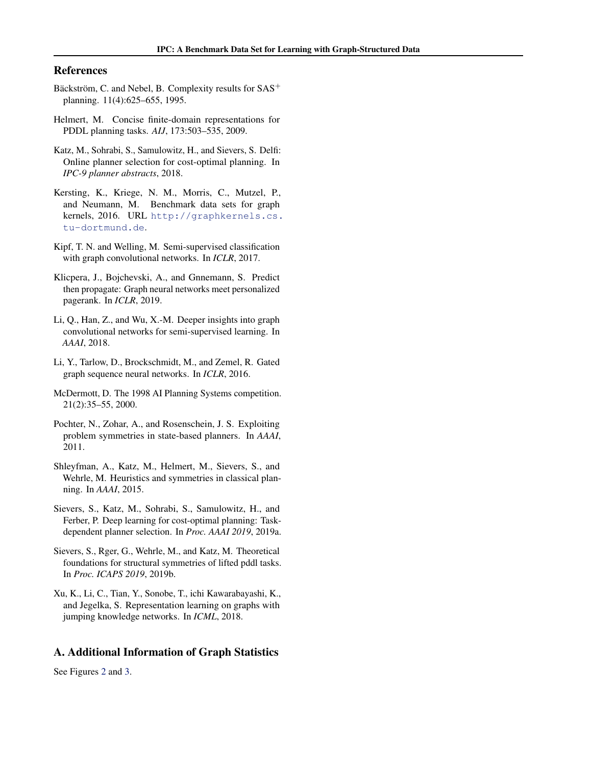#### <span id="page-4-0"></span>References

- Bäckström, C. and Nebel, B. Complexity results for  $SAS^+$ planning. 11(4):625–655, 1995.
- Helmert, M. Concise finite-domain representations for PDDL planning tasks. *AIJ*, 173:503–535, 2009.
- Katz, M., Sohrabi, S., Samulowitz, H., and Sievers, S. Delfi: Online planner selection for cost-optimal planning. In *IPC-9 planner abstracts*, 2018.
- Kersting, K., Kriege, N. M., Morris, C., Mutzel, P., and Neumann, M. Benchmark data sets for graph kernels, 2016. URL [http://graphkernels.cs.](http://graphkernels.cs.tu-dortmund.de) [tu-dortmund.de](http://graphkernels.cs.tu-dortmund.de).
- Kipf, T. N. and Welling, M. Semi-supervised classification with graph convolutional networks. In *ICLR*, 2017.
- Klicpera, J., Bojchevski, A., and Gnnemann, S. Predict then propagate: Graph neural networks meet personalized pagerank. In *ICLR*, 2019.
- Li, Q., Han, Z., and Wu, X.-M. Deeper insights into graph convolutional networks for semi-supervised learning. In *AAAI*, 2018.
- Li, Y., Tarlow, D., Brockschmidt, M., and Zemel, R. Gated graph sequence neural networks. In *ICLR*, 2016.
- McDermott, D. The 1998 AI Planning Systems competition. 21(2):35–55, 2000.
- Pochter, N., Zohar, A., and Rosenschein, J. S. Exploiting problem symmetries in state-based planners. In *AAAI*, 2011.
- Shleyfman, A., Katz, M., Helmert, M., Sievers, S., and Wehrle, M. Heuristics and symmetries in classical planning. In *AAAI*, 2015.
- Sievers, S., Katz, M., Sohrabi, S., Samulowitz, H., and Ferber, P. Deep learning for cost-optimal planning: Taskdependent planner selection. In *Proc. AAAI 2019*, 2019a.
- Sievers, S., Rger, G., Wehrle, M., and Katz, M. Theoretical foundations for structural symmetries of lifted pddl tasks. In *Proc. ICAPS 2019*, 2019b.
- Xu, K., Li, C., Tian, Y., Sonobe, T., ichi Kawarabayashi, K., and Jegelka, S. Representation learning on graphs with jumping knowledge networks. In *ICML*, 2018.

#### A. Additional Information of Graph Statistics

See Figures [2](#page-5-0) and [3.](#page-5-0)